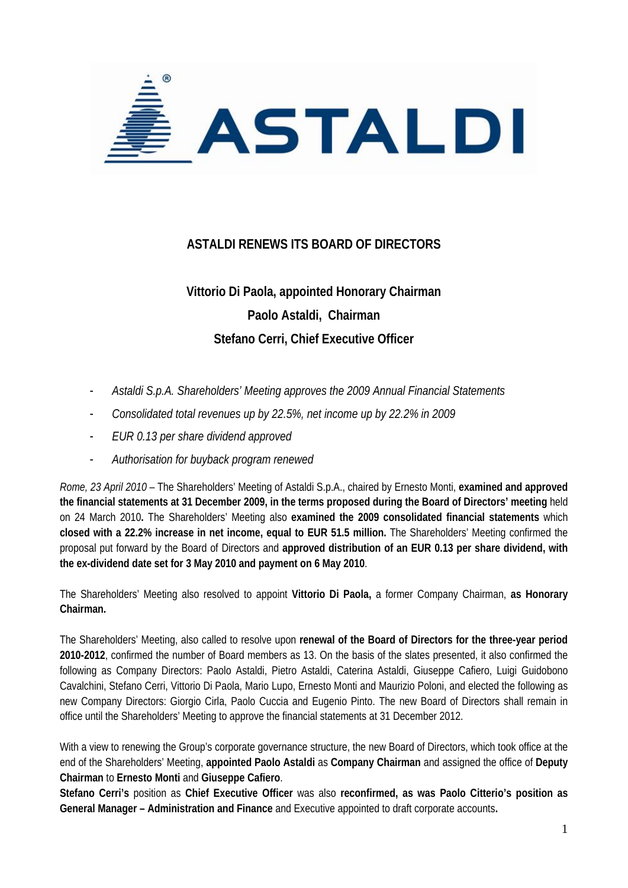

## **ASTALDI RENEWS ITS BOARD OF DIRECTORS**

## **Vittorio Di Paola, appointed Honorary Chairman Paolo Astaldi, Chairman Stefano Cerri, Chief Executive Officer**

- *Astaldi S.p.A. Shareholders' Meeting approves the 2009 Annual Financial Statements*
- *Consolidated total revenues up by 22.5%, net income up by 22.2% in 2009*
- *EUR 0.13 per share dividend approved*
- *Authorisation for buyback program renewed*

*Rome, 23 April 2010* – The Shareholders' Meeting of Astaldi S.p.A., chaired by Ernesto Monti, **examined and approved the financial statements at 31 December 2009, in the terms proposed during the Board of Directors' meeting** held on 24 March 2010**.** The Shareholders' Meeting also **examined the 2009 consolidated financial statements** which **closed with a 22.2% increase in net income, equal to EUR 51.5 million.** The Shareholders' Meeting confirmed the proposal put forward by the Board of Directors and **approved distribution of an EUR 0.13 per share dividend, with the ex-dividend date set for 3 May 2010 and payment on 6 May 2010**.

The Shareholders' Meeting also resolved to appoint **Vittorio Di Paola,** a former Company Chairman, **as Honorary Chairman.**

The Shareholders' Meeting, also called to resolve upon **renewal of the Board of Directors for the three-year period 2010-2012**, confirmed the number of Board members as 13. On the basis of the slates presented, it also confirmed the following as Company Directors: Paolo Astaldi, Pietro Astaldi, Caterina Astaldi, Giuseppe Cafiero, Luigi Guidobono Cavalchini, Stefano Cerri, Vittorio Di Paola, Mario Lupo, Ernesto Monti and Maurizio Poloni, and elected the following as new Company Directors: Giorgio Cirla, Paolo Cuccia and Eugenio Pinto. The new Board of Directors shall remain in office until the Shareholders' Meeting to approve the financial statements at 31 December 2012.

With a view to renewing the Group's corporate governance structure, the new Board of Directors, which took office at the end of the Shareholders' Meeting, **appointed Paolo Astaldi** as **Company Chairman** and assigned the office of **Deputy Chairman** to **Ernesto Monti** and **Giuseppe Cafiero**.

**Stefano Cerri's** position as **Chief Executive Officer** was also **reconfirmed, as was Paolo Citterio's position as General Manager – Administration and Finance** and Executive appointed to draft corporate accounts**.**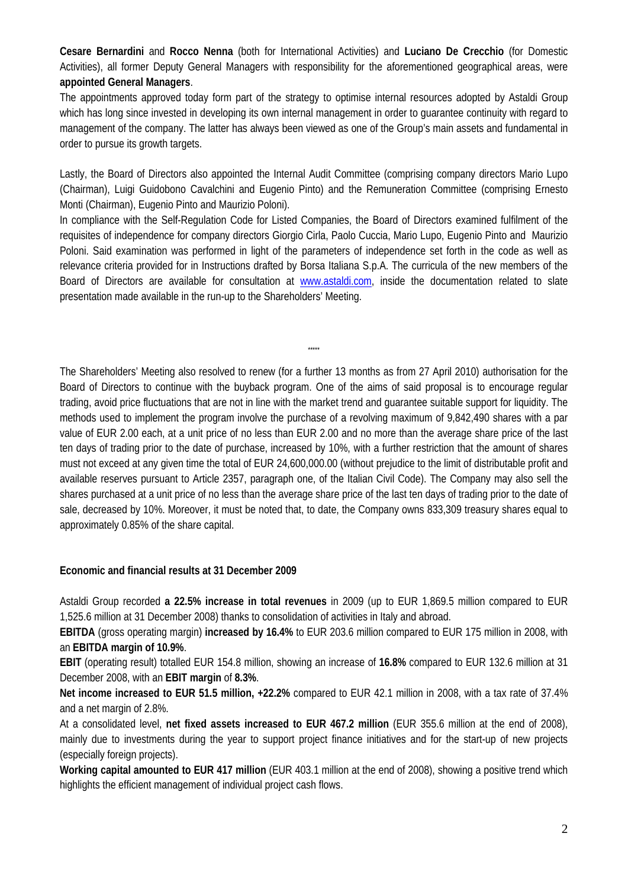**Cesare Bernardini** and **Rocco Nenna** (both for International Activities) and **Luciano De Crecchio** (for Domestic Activities), all former Deputy General Managers with responsibility for the aforementioned geographical areas, were **appointed General Managers**.

The appointments approved today form part of the strategy to optimise internal resources adopted by Astaldi Group which has long since invested in developing its own internal management in order to guarantee continuity with regard to management of the company. The latter has always been viewed as one of the Group's main assets and fundamental in order to pursue its growth targets.

Lastly, the Board of Directors also appointed the Internal Audit Committee (comprising company directors Mario Lupo (Chairman), Luigi Guidobono Cavalchini and Eugenio Pinto) and the Remuneration Committee (comprising Ernesto Monti (Chairman), Eugenio Pinto and Maurizio Poloni).

In compliance with the Self-Regulation Code for Listed Companies, the Board of Directors examined fulfilment of the requisites of independence for company directors Giorgio Cirla, Paolo Cuccia, Mario Lupo, Eugenio Pinto and Maurizio Poloni. Said examination was performed in light of the parameters of independence set forth in the code as well as relevance criteria provided for in Instructions drafted by Borsa Italiana S.p.A. The curricula of the new members of the Board of Directors are available for consultation at www.astaldi.com, inside the documentation related to slate presentation made available in the run-up to the Shareholders' Meeting.

\*\*\*\*\*

The Shareholders' Meeting also resolved to renew (for a further 13 months as from 27 April 2010) authorisation for the Board of Directors to continue with the buyback program. One of the aims of said proposal is to encourage regular trading, avoid price fluctuations that are not in line with the market trend and guarantee suitable support for liquidity. The methods used to implement the program involve the purchase of a revolving maximum of 9,842,490 shares with a par value of EUR 2.00 each, at a unit price of no less than EUR 2.00 and no more than the average share price of the last ten days of trading prior to the date of purchase, increased by 10%, with a further restriction that the amount of shares must not exceed at any given time the total of EUR 24,600,000.00 (without prejudice to the limit of distributable profit and available reserves pursuant to Article 2357, paragraph one, of the Italian Civil Code). The Company may also sell the shares purchased at a unit price of no less than the average share price of the last ten days of trading prior to the date of sale, decreased by 10%. Moreover, it must be noted that, to date, the Company owns 833,309 treasury shares equal to approximately 0.85% of the share capital.

## **Economic and financial results at 31 December 2009**

Astaldi Group recorded **a 22.5% increase in total revenues** in 2009 (up to EUR 1,869.5 million compared to EUR 1,525.6 million at 31 December 2008) thanks to consolidation of activities in Italy and abroad.

**EBITDA** (gross operating margin) **increased by 16.4%** to EUR 203.6 million compared to EUR 175 million in 2008, with an **EBITDA margin of 10.9%**.

**EBIT** (operating result) totalled EUR 154.8 million, showing an increase of **16.8%** compared to EUR 132.6 million at 31 December 2008, with an **EBIT margin** of **8.3%**.

**Net income increased to EUR 51.5 million, +22.2%** compared to EUR 42.1 million in 2008, with a tax rate of 37.4% and a net margin of 2.8%.

At a consolidated level, **net fixed assets increased to EUR 467.2 million** (EUR 355.6 million at the end of 2008), mainly due to investments during the year to support project finance initiatives and for the start-up of new projects (especially foreign projects).

**Working capital amounted to EUR 417 million** (EUR 403.1 million at the end of 2008), showing a positive trend which highlights the efficient management of individual project cash flows.